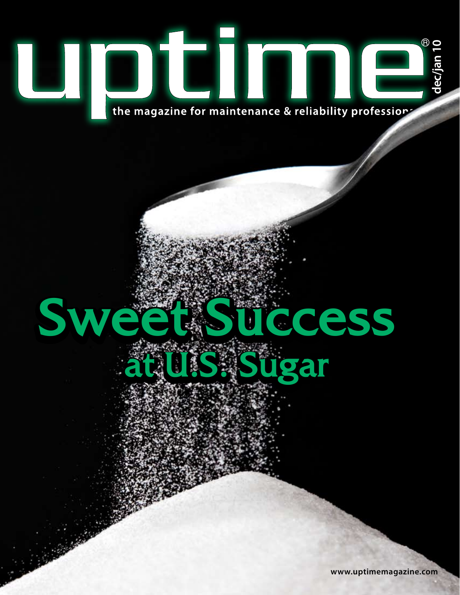

# Sweet Success **at U.S. Sugar**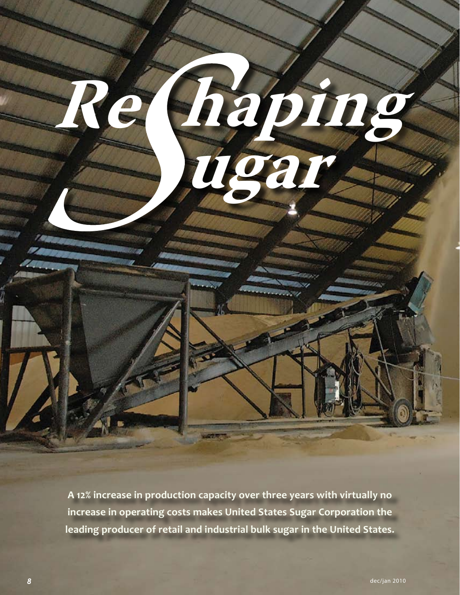

**A 12% increase in production capacity over three years with virtually no increase in operating costs makes United States Sugar Corporation the leading producer of retail and industrial bulk sugar in the United States.**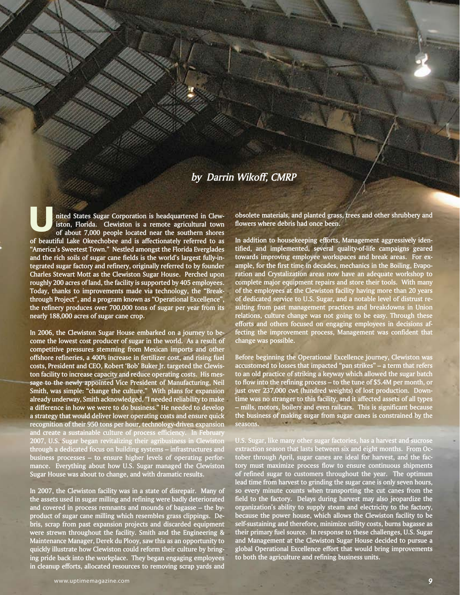#### *by Darrin Wikoff, CMRP*

**nited States Sugar Corporation is headquartered in Clewiston, Florida. Clewiston is a remote agricultural town of about 7,000 people located near the southern shores of beautiful Lake Okeechobee and is affectionately referred to as "America's Sweetest Town." Nestled amongst the Florida Everglades and the rich soils of sugar cane fields is the world's largest fully-integrated sugar factory and refinery, originally referred to by founder Charles Stewart Mott as the Clewiston Sugar House. Perched upon roughly 200 acres of land, the facility is supported by 405 employees. Today, thanks to improvements made via technology, the "Breakthrough Project", and a program known as "Operational Excellence", the refinery produces over 700,000 tons of sugar per year from its nearly 188,000 acres of sugar cane crop.** 

**In 2006, the Clewiston Sugar House embarked on a journey to become the lowest cost producer of sugar in the world. As a result of competitive pressures stemming from Mexican imports and other offshore refineries, a 400% increase in fertilizer cost, and rising fuel costs, President and CEO, Robert 'Bob' Buker Jr. targeted the Clewiston facility to increase capacity and reduce operating costs. His message to the newly appointed Vice President of Manufacturing, Neil Smith, was simple: "change the culture." With plans for expansion already underway, Smith acknowledged, "I needed reliability to make a difference in how we were to do business." He needed to develop a strategy that would deliver lower operating costs and ensure quick recognition of their 950 tons per hour, technology-driven expansion and create a sustainable culture of process efficiency. In February 2007, U.S. Sugar began revitalizing their agribusiness in Clewiston through a dedicated focus on building systems – infrastructures and business processes – to ensure higher levels of operating performance. Everything about how U.S. Sugar managed the Clewiston Sugar House was about to change, and with dramatic results.**

**In 2007, the Clewiston facility was in a state of disrepair. Many of the assets used in sugar milling and refining were badly deteriorated and covered in process remnants and mounds of bagasse – the byproduct of sugar cane milling which resembles grass clippings. Debris, scrap from past expansion projects and discarded equipment were strewn throughout the facility. Smith and the Engineering & Maintenance Manager, Derek du Plooy, saw this as an opportunity to quickly illustrate how Clewiston could reform their culture by bringing pride back into the workplace. They began engaging employees in cleanup efforts, allocated resources to removing scrap yards and** 

**U obsolete materials, and planted grass, trees and other shrubbery and flowers where debris had once been.** 

**In addition to housekeeping efforts, Management aggressively identified, and implemented, several quality-of-life campaigns geared towards improving employee workspaces and break areas. For example, for the first time in decades, mechanics in the Boiling, Evaporation and Crystalization areas now have an adequate workshop to complete major equipment repairs and store their tools. With many of the employees at the Clewiston facility having more than 20 years of dedicated service to U.S. Sugar, and a notable level of distrust resulting from past management practices and breakdowns in Union relations, culture change was not going to be easy. Through these efforts and others focused on engaging employees in decisions affecting the improvement process, Management was confident that change was possible.**

**Before beginning the Operational Excellence journey, Clewiston was accustomed to losses that impacted "pan strikes" – a term that refers to an old practice of striking a keyway which allowed the sugar batch to flow into the refining process – to the tune of \$5.4M per month, or just over 237,000 cwt (hundred weights) of lost production. Downtime was no stranger to this facility, and it affected assets of all types – mills, motors, boilers and even railcars. This is significant because the business of making sugar from sugar canes is constrained by the seasons.** 

**U.S. Sugar, like many other sugar factories, has a harvest and sucrose extraction season that lasts between six and eight months. From October through April, sugar canes are ideal for harvest, and the factory must maximize process flow to ensure continuous shipments of refined sugar to customers throughout the year. The optimum lead time from harvest to grinding the sugar cane is only seven hours, so every minute counts when transporting the cut canes from the field to the factory. Delays during harvest may also jeopardize the organization's ability to supply steam and electricity to the factory, because the power house, which allows the Clewiston facility to be self-sustaining and therefore, minimize utility costs, burns bagasse as their primary fuel source. In response to these challenges, U.S. Sugar and Management at the Clewiston Sugar House decided to pursue a global Operational Excellence effort that would bring improvements to both the agriculture and refining business units.**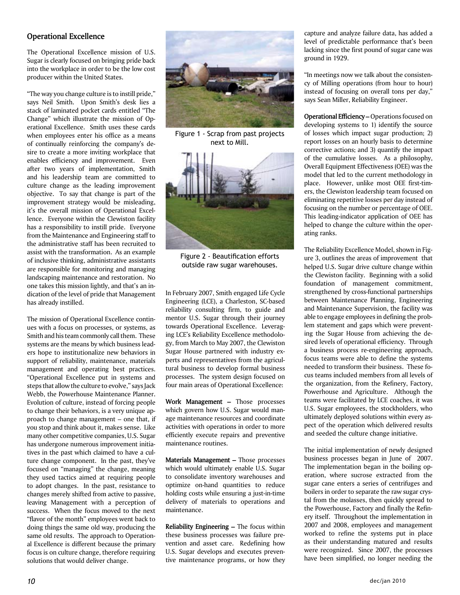#### **Operational Excellence**

The Operational Excellence mission of U.S. Sugar is clearly focused on bringing pride back into the workplace in order to be the low cost producer within the United States.

"The way you change culture is to instill pride," says Neil Smith. Upon Smith's desk lies a stack of laminated pocket cards entitled "The Change" which illustrate the mission of Operational Excellence. Smith uses these cards when employees enter his office as a means of continually reinforcing the company's desire to create a more inviting workplace that enables efficiency and improvement. Even after two years of implementation, Smith and his leadership team are committed to culture change as the leading improvement objective. To say that change is part of the improvement strategy would be misleading, it's the overall mission of Operational Excellence. Everyone within the Clewiston facility has a responsibility to instill pride. Everyone from the Maintenance and Engineering staff to the administrative staff has been recruited to assist with the transformation. As an example of inclusive thinking, administrative assistants are responsible for monitoring and managing landscaping maintenance and restoration. No one takes this mission lightly, and that's an indication of the level of pride that Management has already instilled.

The mission of Operational Excellence continues with a focus on processes, or systems, as Smith and his team commonly call them. These systems are the means by which business leaders hope to institutionalize new behaviors in support of reliability, maintenance, materials management and operating best practices. "Operational Excellence put in systems and steps that allow the culture to evolve," says Jack Webb, the Powerhouse Maintenance Planner. Evolution of culture, instead of forcing people to change their behaviors, is a very unique approach to change management – one that, if you stop and think about it, makes sense. Like many other competitive companies, U.S. Sugar has undergone numerous improvement initiatives in the past which claimed to have a culture change component. In the past, they've focused on "managing" the change, meaning they used tactics aimed at requiring people to adopt changes. In the past, resistance to changes merely shifted from active to passive, leaving Management with a perception of success. When the focus moved to the next "flavor of the month" employees went back to doing things the same old way, producing the same old results. The approach to Operational Excellence is different because the primary focus is on culture change, therefore requiring solutions that would deliver change.



Figure 1 - Scrap from past projects next to Mill.



Figure 2 - Beautification efforts outside raw sugar warehouses.

In February 2007, Smith engaged Life Cycle Engineering (LCE), a Charleston, SC-based reliability consulting firm, to guide and mentor U.S. Sugar through their journey towards Operational Excellence. Leveraging LCE's Reliability Excellence methodology, from March to May 2007, the Clewiston Sugar House partnered with industry experts and representatives from the agricultural business to develop formal business processes. The system design focused on four main areas of Operational Excellence:

**Work Management –** Those processes which govern how U.S. Sugar would manage maintenance resources and coordinate activities with operations in order to more efficiently execute repairs and preventive maintenance routines.

**Materials Management –** Those processes which would ultimately enable U.S. Sugar to consolidate inventory warehouses and optimize on-hand quantities to reduce holding costs while ensuring a just-in-time delivery of materials to operations and maintenance.

**Reliability Engineering –** The focus within these business processes was failure prevention and asset care. Redefining how U.S. Sugar develops and executes preventive maintenance programs, or how they

capture and analyze failure data, has added a level of predictable performance that's been lacking since the first pound of sugar cane was ground in 1929.

"In meetings now we talk about the consistency of Milling operations (from hour to hour) instead of focusing on overall tons per day," says Sean Miller, Reliability Engineer.

**Operational Efficiency –** Operations focused on developing systems to 1) identify the source of losses which impact sugar production; 2) report losses on an hourly basis to determine corrective actions; and 3) quantify the impact of the cumulative losses. As a philosophy, Overall Equipment Effectiveness (OEE) was the model that led to the current methodology in place. However, unlike most OEE first-timers, the Clewiston leadership team focused on eliminating repetitive losses per day instead of focusing on the number or percentage of OEE. This leading-indicator application of OEE has helped to change the culture within the operating ranks.

The Reliability Excellence Model, shown in Figure 3, outlines the areas of improvement that helped U.S. Sugar drive culture change within the Clewiston facility. Beginning with a solid foundation of management commitment, strengthened by cross-functional partnerships between Maintenance Planning, Engineering and Maintenance Supervision, the facility was able to engage employees in defining the problem statement and gaps which were preventing the Sugar House from achieving the desired levels of operational efficiency. Through a business process re-engineering approach, focus teams were able to define the systems needed to transform their business. These focus teams included members from all levels of the organization, from the Refinery, Factory, Powerhouse and Agriculture. Although the teams were facilitated by LCE coaches, it was U.S. Sugar employees, the stockholders, who ultimately deployed solutions within every aspect of the operation which delivered results and seeded the culture change initiative.

The initial implementation of newly designed business processes began in June of 2007. The implementation began in the boiling operation, where sucrose extracted from the sugar cane enters a series of centrifuges and boilers in order to separate the raw sugar crystal from the molasses, then quickly spread to the Powerhouse, Factory and finally the Refinery itself. Throughout the implementation in 2007 and 2008, employees and management worked to refine the systems put in place as their understanding matured and results were recognized. Since 2007, the processes have been simplified, no longer needing the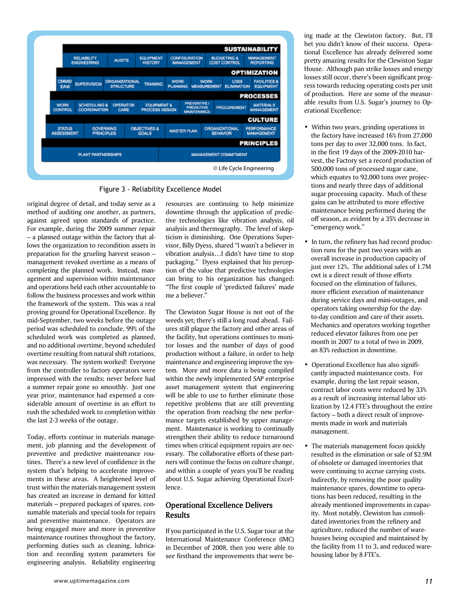



original degree of detail, and today serve as a method of auditing one another, as partners, against agreed upon standards of practice. For example, during the 2009 summer repair – a planned outage within the factory that allows the organization to recondition assets in preparation for the grueling harvest season – management revoked overtime as a means of completing the planned work. Instead, management and supervision within maintenance and operations held each other accountable to follow the business processes and work within the framework of the system. This was a real proving ground for Operational Excellence. By mid-September, two weeks before the outage period was scheduled to conclude, 99% of the scheduled work was completed as planned, and no additional overtime, beyond scheduled overtime resulting from natural shift rotations, was necessary. The system worked! Everyone from the controller to factory operators were impressed with the results; never before had a summer repair gone so smoothly. Just one year prior, maintenance had expensed a considerable amount of overtime in an effort to rush the scheduled work to completion within the last 2-3 weeks of the outage.

Today, efforts continue in materials management, job planning and the development of preventive and predictive maintenance routines. There's a new level of confidence in the system that's helping to accelerate improvements in these areas. A heightened level of trust within the materials management system has created an increase in demand for kitted materials – prepared packages of spares, consumable materials and special tools for repairs and preventive maintenance. Operators are being engaged more and more in preventive maintenance routines throughout the factory, performing duties such as cleaning, lubrication and recording system parameters for engineering analysis. Reliability engineering

resources are continuing to help minimize downtime through the application of predictive technologies like vibration analysis, oil analysis and thermography. The level of skepticism is diminishing. One Operations Supervisor, Billy Dyess, shared "I wasn't a believer in vibration analysis…I didn't have time to stop packaging." Dyess explained that his perception of the value that predictive technologies can bring to his organization has changed: "The first couple of 'predicted failures' made me a believer."

The Clewiston Sugar House is not out of the weeds yet; there's still a long road ahead. Failures still plague the factory and other areas of the facility, but operations continues to monitor losses and the number of days of good production without a failure, in order to help maintenance and engineering improve the system. More and more data is being compiled within the newly implemented SAP enterprise asset management system that engineering will be able to use to further eliminate those repetitive problems that are still preventing the operation from reaching the new performance targets established by upper management. Maintenance is working to continually strengthen their ability to reduce turnaround times when critical equipment repairs are necessary. The collaborative efforts of these partners will continue the focus on culture change, and within a couple of years you'll be reading about U.S. Sugar achieving Operational Excellence.

#### **Operational Excellence Delivers Results**

If you participated in the U.S. Sugar tour at the International Maintenance Conference (IMC) in December of 2008, then you were able to see firsthand the improvements that were be-

ing made at the Clewiston factory. But, I'll bet you didn't know of their success. Operational Excellence has already delivered some pretty amazing results for the Clewiston Sugar House. Although pan strike losses and energy losses still occur, there's been significant progress towards reducing operating costs per unit of production. Here are some of the measurable results from U.S. Sugar's journey to Operational Excellence:

- Within two years, grinding operations in the factory have increased 16% from 27,000 tons per day to over 32,000 tons. In fact, in the first 19 days of the 2009-2010 har vest, the Factory set a record production of 500,000 tons of processed sugar cane, which equates to 92,000 tons over projec tions and nearly three days of additional sugar processing capacity. Much of these gains can be attributed to more effective maintenance being performed during the off season, as evident by a 35% decrease in "emergency work."
- In turn, the refinery has had record produc tion runs for the past two years with an overall increase in production capacity of just over 12%. The additional sales of 1.7M cwt is a direct result of those efforts focused on the elimination of failures, more efficient execution of maintenance during service days and mini-outages, and operators taking ownership for the day to-day condition and care of their assets. Mechanics and operators working together reduced elevator failures from one per month in 2007 to a total of two in 2009, an 83% reduction in downtime.
- Operational Excellence has also signifi cantly impacted maintenance costs. For example, during the last repair season, contract labor costs were reduced by 33% as a result of increasing internal labor uti lization by 12.4 FTE's throughout the entire factory – both a direct result of improve ments made in work and materials management.
- The materials management focus quickly resulted in the elimination or sale of \$2.9M of obsolete or damaged inventories that were continuing to accrue carrying costs. Indirectly, by removing the poor quality maintenance spares, downtime to opera tions has been reduced, resulting in the already mentioned improvements in capac ity. Most notably, Clewiston has consoli dated inventories from the refinery and agriculture, reduced the number of ware houses being occupied and maintained by the facility from 11 to 3, and reduced ware housing labor by 8 FTE's.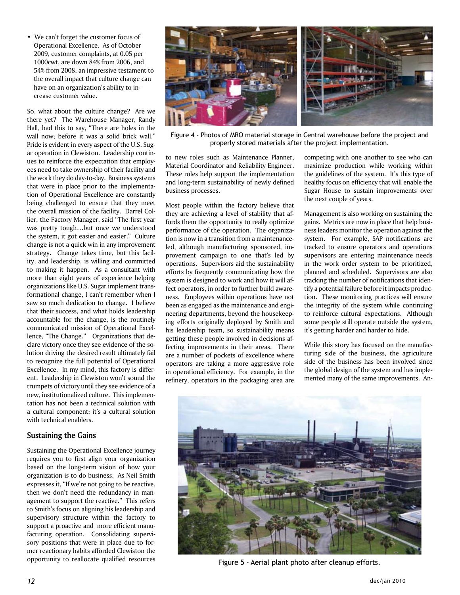• We can't forget the customer focus of Operational Excellence. As of October 2009, customer complaints, at 0.05 per 1000cwt, are down 84% from 2006, and 54% from 2008, an impressive testament to the overall impact that culture change can have on an organization's ability to in crease customer value.

So, what about the culture change? Are we there yet? The Warehouse Manager, Randy Hall, had this to say, "There are holes in the wall now; before it was a solid brick wall." Pride is evident in every aspect of the U.S. Sugar operation in Clewiston. Leadership continues to reinforce the expectation that employees need to take ownership of their facility and the work they do day-to-day. Business systems that were in place prior to the implementation of Operational Excellence are constantly being challenged to ensure that they meet the overall mission of the facility. Darrel Collier, the Factory Manager, said "The first year was pretty tough…but once we understood the system, it got easier and easier." Culture change is not a quick win in any improvement strategy. Change takes time, but this facility, and leadership, is willing and committed to making it happen. As a consultant with more than eight years of experience helping organizations like U.S. Sugar implement transformational change, I can't remember when I saw so much dedication to change. I believe that their success, and what holds leadership accountable for the change, is the routinely communicated mission of Operational Excellence, "The Change." Organizations that declare victory once they see evidence of the solution driving the desired result ultimately fail to recognize the full potential of Operational Excellence. In my mind, this factory is different. Leadership in Clewiston won't sound the trumpets of victory until they see evidence of a new, institutionalized culture. This implementation has not been a technical solution with a cultural component; it's a cultural solution with technical enablers.

#### **Sustaining the Gains**

Sustaining the Operational Excellence journey requires you to first align your organization based on the long-term vision of how your organization is to do business. As Neil Smith expresses it, "If we're not going to be reactive, then we don't need the redundancy in management to support the reactive." This refers to Smith's focus on aligning his leadership and supervisory structure within the factory to support a proactive and more efficient manufacturing operation. Consolidating supervisory positions that were in place due to former reactionary habits afforded Clewiston the opportunity to reallocate qualified resources



Figure 4 - Photos of MRO material storage in Central warehouse before the project and properly stored materials after the project implementation.

to new roles such as Maintenance Planner, Material Coordinator and Reliability Engineer. These roles help support the implementation and long-term sustainability of newly defined business processes.

Most people within the factory believe that they are achieving a level of stability that affords them the opportunity to really optimize performance of the operation. The organization is now in a transition from a maintenanceled, although manufacturing sponsored, improvement campaign to one that's led by operations. Supervisors aid the sustainability efforts by frequently communicating how the system is designed to work and how it will affect operators, in order to further build awareness. Employees within operations have not been as engaged as the maintenance and engineering departments, beyond the housekeeping efforts originally deployed by Smith and his leadership team, so sustainability means getting these people involved in decisions affecting improvements in their areas. There are a number of pockets of excellence where operators are taking a more aggressive role in operational efficiency. For example, in the refinery, operators in the packaging area are

competing with one another to see who can maximize production while working within the guidelines of the system. It's this type of healthy focus on efficiency that will enable the Sugar House to sustain improvements over the next couple of years.

Management is also working on sustaining the gains. Metrics are now in place that help business leaders monitor the operation against the system. For example, SAP notifications are tracked to ensure operators and operations supervisors are entering maintenance needs in the work order system to be prioritized, planned and scheduled. Supervisors are also tracking the number of notifications that identify a potential failure before it impacts production. These monitoring practices will ensure the integrity of the system while continuing to reinforce cultural expectations. Although some people still operate outside the system, it's getting harder and harder to hide.

While this story has focused on the manufacturing side of the business, the agriculture side of the business has been involved since the global design of the system and has implemented many of the same improvements. An-



Figure 5 - Aerial plant photo after cleanup efforts.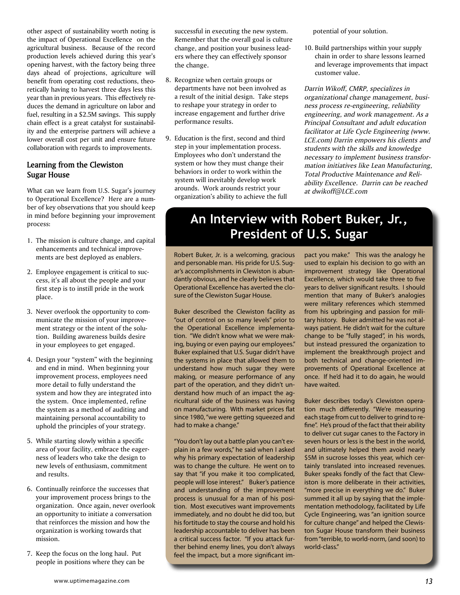other aspect of sustainability worth noting is the impact of Operational Excellence on the agricultural business. Because of the record production levels achieved during this year's opening harvest, with the factory being three days ahead of projections, agriculture will benefit from operating cost reductions, theoretically having to harvest three days less this year than in previous years. This effectively reduces the demand in agriculture on labor and fuel, resulting in a \$2.5M savings. This supply chain effect is a great catalyst for sustainability and the enterprise partners will achieve a lower overall cost per unit and ensure future collaboration with regards to improvements.

#### **Learning from the Clewiston Sugar House**

What can we learn from U.S. Sugar's journey to Operational Excellence? Here are a number of key observations that you should keep in mind before beginning your improvement process:

- 1. The mission is culture change, and capital enhancements and technical improve ments are best deployed as enablers.
- 2. Employee engagement is critical to suc cess, it's all about the people and your first step is to instill pride in the work place.
- 3. Never overlook the opportunity to com municate the mission of your improve ment strategy or the intent of the solu tion. Building awareness builds desire in your employees to get engaged.
- 4. Design your "system" with the beginning and end in mind. When beginning your improvement process, employees need more detail to fully understand the system and how they are integrated into the system. Once implemented, refine the system as a method of auditing and maintaining personal accountability to uphold the principles of your strategy.
- 5. While starting slowly within a specific area of your facility, embrace the eager ness of leaders who take the design to new levels of enthusiasm, commitment and results.
- 6. Continually reinforce the successes that your improvement process brings to the organization. Once again, never overlook an opportunity to initiate a conversation that reinforces the mission and how the organization is working towards that mission.
- 7. Keep the focus on the long haul. Put people in positions where they can be

 successful in executing the new system. Remember that the overall goal is culture change, and position your business lead ers where they can effectively sponsor the change.

- 8. Recognize when certain groups or departments have not been involved as a result of the initial design. Take steps to reshape your strategy in order to increase engagement and further drive performance results.
- 9. Education is the first, second and third step in your implementation process. Employees who don't understand the system or how they must change their behaviors in order to work within the system will inevitably develop work arounds. Work arounds restrict your organization's ability to achieve the full

potential of your solution.

10. Build partnerships within your supply chain in order to share lessons learned and leverage improvements that impact customer value.

*Darrin Wikoff, CMRP, specializes in organizational change management, business process re-engineering, reliability engineering, and work management. As a Principal Consultant and adult education facilitator at Life Cycle Engineering (www. LCE.com) Darrin empowers his clients and students with the skills and knowledge necessary to implement business transformation initiatives like Lean Manufacturing, Total Productive Maintenance and Reliability Excellence. Darrin can be reached at dwikoff@LCE.com*

### **An Interview with Robert Buker, Jr., President of U.S. Sugar**

Robert Buker, Jr. is a welcoming, gracious and personable man. His pride for U.S. Sugar's accomplishments in Clewiston is abundantly obvious, and he clearly believes that Operational Excellence has averted the closure of the Clewiston Sugar House.

Buker described the Clewiston facility as "out of control on so many levels" prior to the Operational Excellence implementation. "We didn't know what we were making, buying or even paying our employees." Buker explained that U.S. Sugar didn't have the systems in place that allowed them to understand how much sugar they were making, or measure performance of any part of the operation, and they didn't understand how much of an impact the agricultural side of the business was having on manufacturing. With market prices flat since 1980, "we were getting squeezed and had to make a change."

"You don't lay out a battle plan you can't explain in a few words," he said when I asked why his primary expectation of leadership was to change the culture. He went on to say that "if you make it too complicated, people will lose interest." Buker's patience and understanding of the improvement process is unusual for a man of his position. Most executives want improvements immediately, and no doubt he did too, but his fortitude to stay the course and hold his leadership accountable to deliver has been a critical success factor. "If you attack further behind enemy lines, you don't always feel the impact, but a more significant impact you make." This was the analogy he used to explain his decision to go with an improvement strategy like Operational Excellence, which would take three to five years to deliver significant results. I should mention that many of Buker's analogies were military references which stemmed from his upbringing and passion for military history. Buker admitted he was not always patient. He didn't wait for the culture change to be "fully staged", in his words, but instead pressured the organization to implement the breakthrough project and both technical and change-oriented improvements of Operational Excellence at once. If he'd had it to do again, he would have waited.

Buker describes today's Clewiston operation much differently. "We're measuring each stage from cut to deliver to grind to refine". He's proud of the fact that their ability to deliver cut sugar canes to the Factory in seven hours or less is the best in the world, and ultimately helped them avoid nearly \$5M in sucrose losses this year, which certainly translated into increased revenues. Buker speaks fondly of the fact that Clewiston is more deliberate in their activities, "more precise in everything we do." Buker summed it all up by saying that the implementation methodology, facilitated by Life Cycle Engineering, was "an ignition source for culture change" and helped the Clewiston Sugar House transform their business from "terrible, to world-norm, (and soon) to world-class."